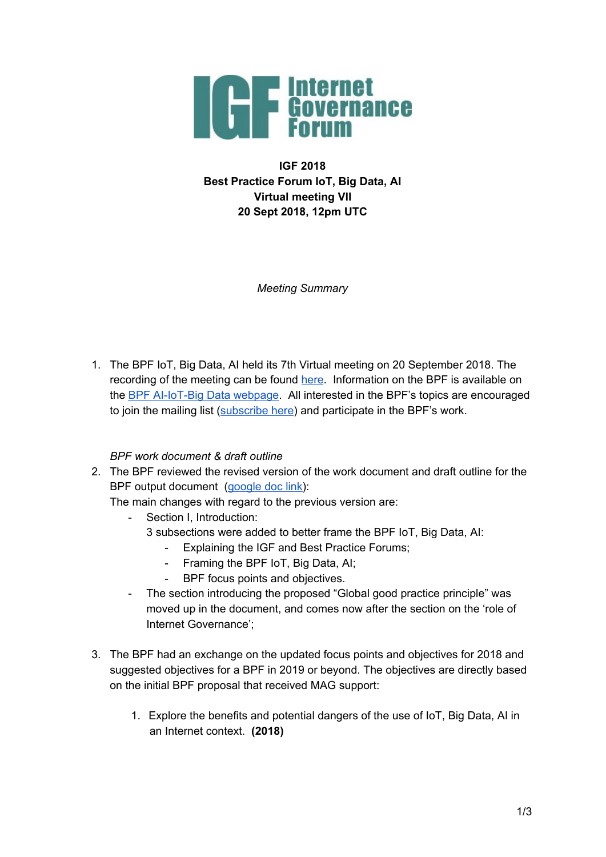

**IGF 2018 Best Practice Forum IoT, Big Data, AI Virtual meeting VII 20 Sept 2018, 12pm UTC**

*Meeting Summary*

1. The BPF IoT, Big Data, AI held its 7th Virtual meeting on 20 September 2018. The recording of the meeting can be found [here](https://intgovforum.webex.com/intgovforum/ldr.php?RCID=0dff7b6ad94c4254fe0cec0247a266d5). Information on the BPF is available on the BPF [AI-IoT-Big](https://www.intgovforum.org/multilingual/content/bpf-artificial-intelligence-ai-internet-of-things-iot-and-big-data) Data webpage. All interested in the BPF's topics are encouraged to join the mailing list ([subscribe](https://intgovforum.org/mailman/listinfo/aiiotbd_intgovforum.org) here) and participate in the BPF's work.

## *BPF work document & draft outline*

2. The BPF reviewed the revised version of the work document and draft outline for the BPF output document [\(google](https://docs.google.com/document/d/1UvsqaJpiYnBeAv0NoW9UXBBIvWL11M_v8BIv4BUFtgQ/edit?usp=sharing) doc link):

The main changes with regard to the previous version are:

- Section I, Introduction:
	- 3 subsections were added to better frame the BPF IoT, Big Data, AI:
		- Explaining the IGF and Best Practice Forums;
		- Framing the BPF IoT, Big Data, AI;
		- BPF focus points and objectives.
- The section introducing the proposed "Global good practice principle" was moved up in the document, and comes now after the section on the 'role of Internet Governance';
- 3. The BPF had an exchange on the updated focus points and objectives for 2018 and suggested objectives for a BPF in 2019 or beyond. The objectives are directly based on the initial BPF proposal that received MAG support:
	- 1. Explore the benefits and potential dangers of the use of IoT, Big Data, AI in an Internet context. **(2018)**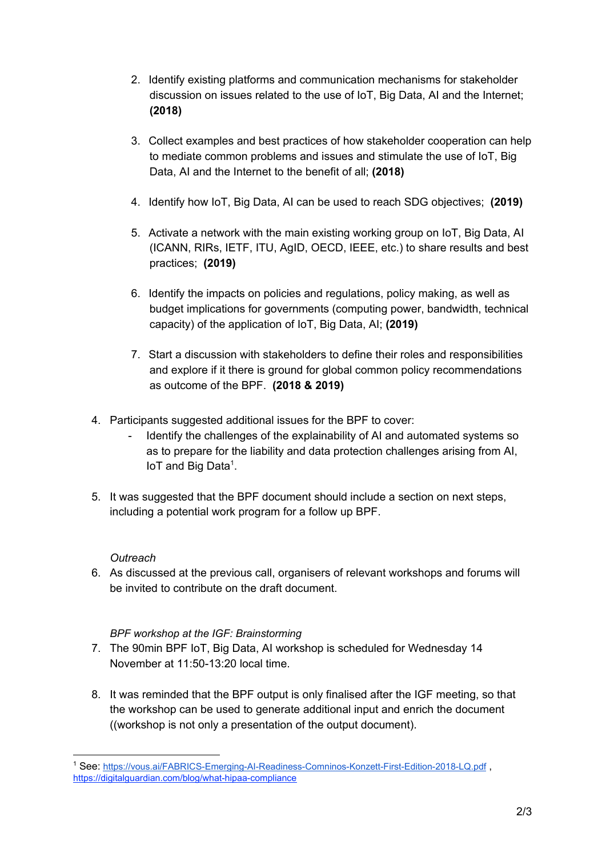- 2. Identify existing platforms and communication mechanisms for stakeholder discussion on issues related to the use of IoT, Big Data, AI and the Internet; **(2018)**
- 3. Collect examples and best practices of how stakeholder cooperation can help to mediate common problems and issues and stimulate the use of IoT, Big Data, AI and the Internet to the benefit of all; **(2018)**
- 4. Identify how IoT, Big Data, AI can be used to reach SDG objectives; **(2019)**
- 5. Activate a network with the main existing working group on IoT, Big Data, AI (ICANN, RIRs, IETF, ITU, AgID, OECD, IEEE, etc.) to share results and best practices; **(2019)**
- 6. Identify the impacts on policies and regulations, policy making, as well as budget implications for governments (computing power, bandwidth, technical capacity) of the application of IoT, Big Data, AI; **(2019)**
- 7. Start a discussion with stakeholders to define their roles and responsibilities and explore if it there is ground for global common policy recommendations as outcome of the BPF. **(2018 & 2019)**
- 4. Participants suggested additional issues for the BPF to cover:
	- Identify the challenges of the explainability of AI and automated systems so as to prepare for the liability and data protection challenges arising from AI,  $I$ oT and Big Data<sup>1</sup>.
- 5. It was suggested that the BPF document should include a section on next steps, including a potential work program for a follow up BPF.

## *Outreach*

6. As discussed at the previous call, organisers of relevant workshops and forums will be invited to contribute on the draft document.

## *BPF workshop at the IGF: Brainstorming*

- 7. The 90min BPF IoT, Big Data, AI workshop is scheduled for Wednesday 14 November at 11:50-13:20 local time.
- 8. It was reminded that the BPF output is only finalised after the IGF meeting, so that the workshop can be used to generate additional input and enrich the document ((workshop is not only a presentation of the output document).

<sup>1</sup> See: <https://vous.ai/FABRICS-Emerging-AI-Readiness-Comninos-Konzett-First-Edition-2018-LQ.pdf> , https://digitalguardian.com/blog/what-hipaa-compliance